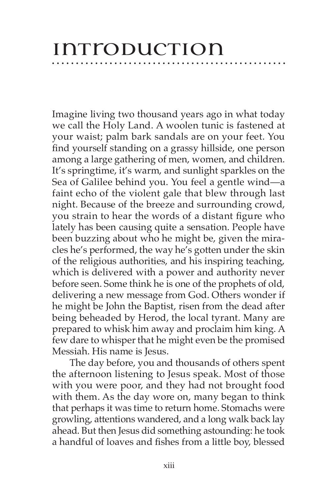Imagine living two thousand years ago in what today we call the Holy Land. A woolen tunic is fastened at your waist; palm bark sandals are on your feet. You find yourself standing on a grassy hillside, one person among a large gathering of men, women, and children. It's springtime, it's warm, and sunlight sparkles on the Sea of Galilee behind you. You feel a gentle wind—a faint echo of the violent gale that blew through last night. Because of the breeze and surrounding crowd, you strain to hear the words of a distant figure who lately has been causing quite a sensation. People have been buzzing about who he might be, given the miracles he's performed, the way he's gotten under the skin of the religious authorities, and his inspiring teaching, which is delivered with a power and authority never before seen. Some think he is one of the prophets of old, delivering a new message from God. Others wonder if he might be John the Baptist, risen from the dead after being beheaded by Herod, the local tyrant. Many are prepared to whisk him away and proclaim him king. A few dare to whisper that he might even be the promised Messiah. His name is Jesus.

The day before, you and thousands of others spent the afternoon listening to Jesus speak. Most of those with you were poor, and they had not brought food with them. As the day wore on, many began to think that perhaps it was time to return home. Stomachs were growling, attentions wandered, and a long walk back lay ahead. But then Jesus did something astounding: he took a handful of loaves and fishes from a little boy, blessed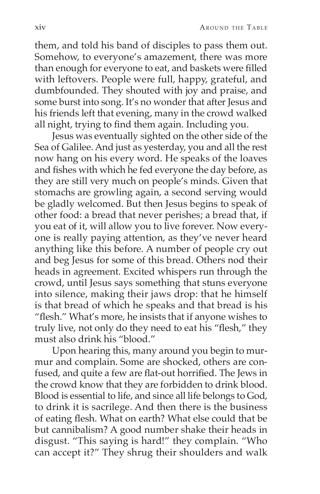them, and told his band of disciples to pass them out. Somehow, to everyone's amazement, there was more than enough for everyone to eat, and baskets were filled with leftovers. People were full, happy, grateful, and dumbfounded. They shouted with joy and praise, and some burst into song. It's no wonder that after Jesus and his friends left that evening, many in the crowd walked all night, trying to find them again. Including you.

Jesus was eventually sighted on the other side of the Sea of Galilee. And just as yesterday, you and all the rest now hang on his every word. He speaks of the loaves and fishes with which he fed everyone the day before, as they are still very much on people's minds. Given that stomachs are growling again, a second serving would be gladly welcomed. But then Jesus begins to speak of other food: a bread that never perishes; a bread that, if you eat of it, will allow you to live forever. Now everyone is really paying attention, as they've never heard anything like this before. A number of people cry out and beg Jesus for some of this bread. Others nod their heads in agreement. Excited whispers run through the crowd, until Jesus says something that stuns everyone into silence, making their jaws drop: that he himself is that bread of which he speaks and that bread is his "flesh." What's more, he insists that if anyone wishes to truly live, not only do they need to eat his "flesh," they must also drink his "blood."

Upon hearing this, many around you begin to murmur and complain. Some are shocked, others are confused, and quite a few are flat-out horrified. The Jews in the crowd know that they are forbidden to drink blood. Blood is essential to life, and since all life belongs to God, to drink it is sacrilege. And then there is the business of eating flesh. What on earth? What else could that be but cannibalism? A good number shake their heads in disgust. "This saying is hard!" they complain. "Who can accept it?" They shrug their shoulders and walk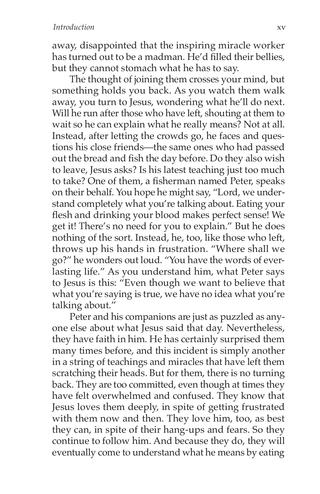away, disappointed that the inspiring miracle worker has turned out to be a madman. He'd filled their bellies, but they cannot stomach what he has to say.

The thought of joining them crosses your mind, but something holds you back. As you watch them walk away, you turn to Jesus, wondering what he'll do next. Will he run after those who have left, shouting at them to wait so he can explain what he really means? Not at all. Instead, after letting the crowds go, he faces and questions his close friends—the same ones who had passed out the bread and fish the day before. Do they also wish to leave, Jesus asks? Is his latest teaching just too much to take? One of them, a fisherman named Peter, speaks on their behalf. You hope he might say, "Lord, we understand completely what you're talking about. Eating your flesh and drinking your blood makes perfect sense! We get it! There's no need for you to explain." But he does nothing of the sort. Instead, he, too, like those who left, throws up his hands in frustration. "Where shall we go?" he wonders out loud. "You have the words of everlasting life." As you understand him, what Peter says to Jesus is this: "Even though we want to believe that what you're saying is true, we have no idea what you're talking about."

Peter and his companions are just as puzzled as anyone else about what Jesus said that day. Nevertheless, they have faith in him. He has certainly surprised them many times before, and this incident is simply another in a string of teachings and miracles that have left them scratching their heads. But for them, there is no turning back. They are too committed, even though at times they have felt overwhelmed and confused. They know that Jesus loves them deeply, in spite of getting frustrated with them now and then. They love him, too, as best they can, in spite of their hang-ups and fears. So they continue to follow him. And because they do, they will eventually come to understand what he means by eating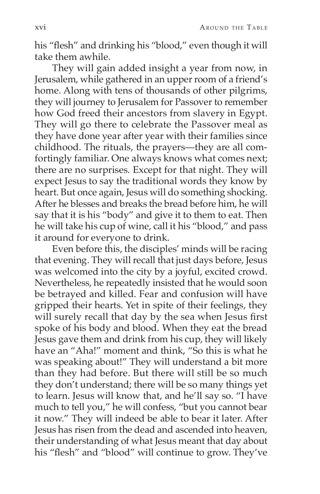his "flesh" and drinking his "blood," even though it will take them awhile.

They will gain added insight a year from now, in Jerusalem, while gathered in an upper room of a friend's home. Along with tens of thousands of other pilgrims, they will journey to Jerusalem for Passover to remember how God freed their ancestors from slavery in Egypt. They will go there to celebrate the Passover meal as they have done year after year with their families since childhood. The rituals, the prayers—they are all comfortingly familiar. One always knows what comes next; there are no surprises. Except for that night. They will expect Jesus to say the traditional words they know by heart. But once again, Jesus will do something shocking. After he blesses and breaks the bread before him, he will say that it is his "body" and give it to them to eat. Then he will take his cup of wine, call it his "blood," and pass it around for everyone to drink.

Even before this, the disciples' minds will be racing that evening. They will recall that just days before, Jesus was welcomed into the city by a joyful, excited crowd. Nevertheless, he repeatedly insisted that he would soon be betrayed and killed. Fear and confusion will have gripped their hearts. Yet in spite of their feelings, they will surely recall that day by the sea when Jesus first spoke of his body and blood. When they eat the bread Jesus gave them and drink from his cup, they will likely have an "Aha!" moment and think, "So this is what he was speaking about!" They will understand a bit more than they had before. But there will still be so much they don't understand; there will be so many things yet to learn. Jesus will know that, and he'll say so. "I have much to tell you," he will confess, "but you cannot bear it now." They will indeed be able to bear it later. After Jesus has risen from the dead and ascended into heaven, their understanding of what Jesus meant that day about his "flesh" and "blood" will continue to grow. They've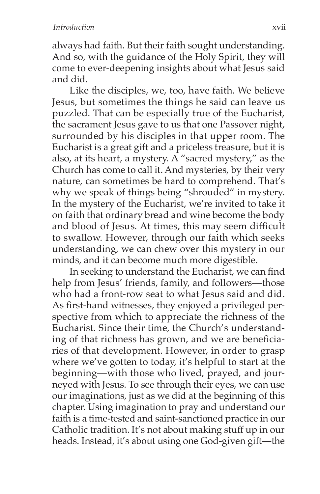#### *Introduction* xvii

always had faith. But their faith sought understanding. And so, with the guidance of the Holy Spirit, they will come to ever-deepening insights about what Jesus said and did.

Like the disciples, we, too, have faith. We believe Jesus, but sometimes the things he said can leave us puzzled. That can be especially true of the Eucharist, the sacrament Jesus gave to us that one Passover night, surrounded by his disciples in that upper room. The Eucharist is a great gift and a priceless treasure, but it is also, at its heart, a mystery. A "sacred mystery," as the Church has come to call it. And mysteries, by their very nature, can sometimes be hard to comprehend. That's why we speak of things being "shrouded" in mystery. In the mystery of the Eucharist, we're invited to take it on faith that ordinary bread and wine become the body and blood of Jesus. At times, this may seem difficult to swallow. However, through our faith which seeks understanding, we can chew over this mystery in our minds, and it can become much more digestible.

In seeking to understand the Eucharist, we can find help from Jesus' friends, family, and followers—those who had a front-row seat to what Jesus said and did. As first-hand witnesses, they enjoyed a privileged perspective from which to appreciate the richness of the Eucharist. Since their time, the Church's understanding of that richness has grown, and we are beneficiaries of that development. However, in order to grasp where we've gotten to today, it's helpful to start at the beginning—with those who lived, prayed, and journeyed with Jesus. To see through their eyes, we can use our imaginations, just as we did at the beginning of this chapter. Using imagination to pray and understand our faith is a time-tested and saint-sanctioned practice in our Catholic tradition. It's not about making stuff up in our heads. Instead, it's about using one God-given gift—the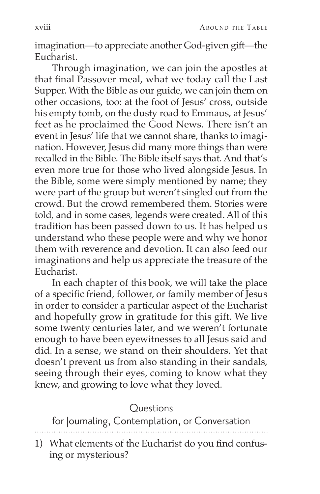imagination—to appreciate another God-given gift—the Eucharist.

Through imagination, we can join the apostles at that final Passover meal, what we today call the Last Supper. With the Bible as our guide, we can join them on other occasions, too: at the foot of Jesus' cross, outside his empty tomb, on the dusty road to Emmaus, at Jesus' feet as he proclaimed the Good News. There isn't an event in Jesus' life that we cannot share, thanks to imagination. However, Jesus did many more things than were recalled in the Bible. The Bible itself says that. And that's even more true for those who lived alongside Jesus. In the Bible, some were simply mentioned by name; they were part of the group but weren't singled out from the crowd. But the crowd remembered them. Stories were told, and in some cases, legends were created. All of this tradition has been passed down to us. It has helped us understand who these people were and why we honor them with reverence and devotion. It can also feed our imaginations and help us appreciate the treasure of the Eucharist.

In each chapter of this book, we will take the place of a specific friend, follower, or family member of Jesus in order to consider a particular aspect of the Eucharist and hopefully grow in gratitude for this gift. We live some twenty centuries later, and we weren't fortunate enough to have been eyewitnesses to all Jesus said and did. In a sense, we stand on their shoulders. Yet that doesn't prevent us from also standing in their sandals, seeing through their eyes, coming to know what they knew, and growing to love what they loved.

#### **Ouestions**

for Journaling, Contemplation, or Conversation

1) What elements of the Eucharist do you find confusing or mysterious?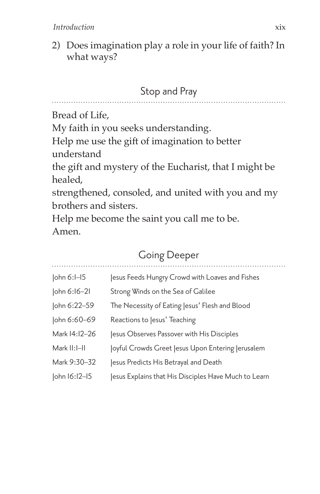#### *Introduction* xix

2) Does imagination play a role in your life of faith? In what ways?

### Stop and Pray

Bread of Life,

My faith in you seeks understanding.

Help me use the gift of imagination to better

understand

the gift and mystery of the Eucharist, that I might be healed,

strengthened, consoled, and united with you and my brothers and sisters.

Help me become the saint you call me to be. Amen.

## Going Deeper

| $ ohn 6:1-15$ | esus Feeds Hungry Crowd with Loaves and Fishes      |
|---------------|-----------------------------------------------------|
| John 6:16-21  | Strong Winds on the Sea of Galilee                  |
| John 6:22-59  | The Necessity of Eating Jesus' Flesh and Blood      |
| John 6:60-69  | Reactions to Jesus' Teaching                        |
| Mark 14:12-26 | Jesus Observes Passover with His Disciples          |
| Mark II:I-II  | Joyful Crowds Greet Jesus Upon Entering Jerusalem   |
| Mark 9:30-32  | esus Predicts His Betrayal and Death                |
| John 16:12-15 | esus Explains that His Disciples Have Much to Learn |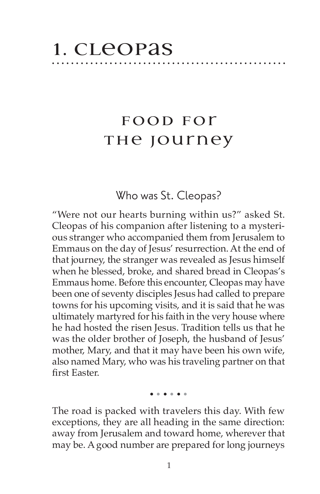# **1. Cleopas**

## **Food for the Journey**

#### Who was St. Cleopas?

"Were not our hearts burning within us?" asked St. Cleopas of his companion after listening to a mysterious stranger who accompanied them from Jerusalem to Emmaus on the day of Jesus' resurrection. At the end of that journey, the stranger was revealed as Jesus himself when he blessed, broke, and shared bread in Cleopas's Emmaus home. Before this encounter, Cleopas may have been one of seventy disciples Jesus had called to prepare towns for his upcoming visits, and it is said that he was ultimately martyred for his faith in the very house where he had hosted the risen Jesus. Tradition tells us that he was the older brother of Joseph, the husband of Jesus' mother, Mary, and that it may have been his own wife, also named Mary, who was his traveling partner on that first Easter.

......

The road is packed with travelers this day. With few exceptions, they are all heading in the same direction: away from Jerusalem and toward home, wherever that may be. A good number are prepared for long journeys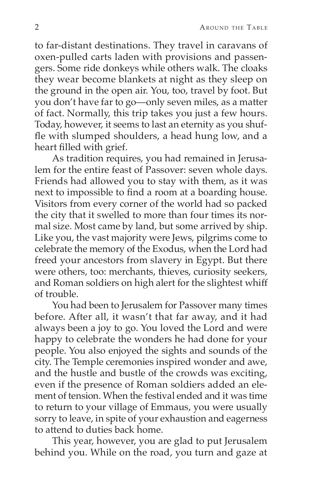to far-distant destinations. They travel in caravans of oxen-pulled carts laden with provisions and passengers. Some ride donkeys while others walk. The cloaks they wear become blankets at night as they sleep on the ground in the open air. You, too, travel by foot. But you don't have far to go—only seven miles, as a matter of fact. Normally, this trip takes you just a few hours. Today, however, it seems to last an eternity as you shuffle with slumped shoulders, a head hung low, and a heart filled with grief.

As tradition requires, you had remained in Jerusalem for the entire feast of Passover: seven whole days. Friends had allowed you to stay with them, as it was next to impossible to find a room at a boarding house. Visitors from every corner of the world had so packed the city that it swelled to more than four times its normal size. Most came by land, but some arrived by ship. Like you, the vast majority were Jews, pilgrims come to celebrate the memory of the Exodus, when the Lord had freed your ancestors from slavery in Egypt. But there were others, too: merchants, thieves, curiosity seekers, and Roman soldiers on high alert for the slightest whiff of trouble.

You had been to Jerusalem for Passover many times before. After all, it wasn't that far away, and it had always been a joy to go. You loved the Lord and were happy to celebrate the wonders he had done for your people. You also enjoyed the sights and sounds of the city. The Temple ceremonies inspired wonder and awe, and the hustle and bustle of the crowds was exciting, even if the presence of Roman soldiers added an element of tension. When the festival ended and it was time to return to your village of Emmaus, you were usually sorry to leave, in spite of your exhaustion and eagerness to attend to duties back home.

This year, however, you are glad to put Jerusalem behind you. While on the road, you turn and gaze at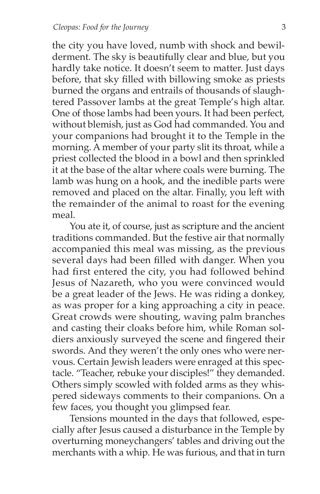the city you have loved, numb with shock and bewilderment. The sky is beautifully clear and blue, but you hardly take notice. It doesn't seem to matter. Just days before, that sky filled with billowing smoke as priests burned the organs and entrails of thousands of slaughtered Passover lambs at the great Temple's high altar. One of those lambs had been yours. It had been perfect, without blemish, just as God had commanded. You and your companions had brought it to the Temple in the morning. A member of your party slit its throat, while a priest collected the blood in a bowl and then sprinkled it at the base of the altar where coals were burning. The lamb was hung on a hook, and the inedible parts were removed and placed on the altar. Finally, you left with the remainder of the animal to roast for the evening meal.

You ate it, of course, just as scripture and the ancient traditions commanded. But the festive air that normally accompanied this meal was missing, as the previous several days had been filled with danger. When you had first entered the city, you had followed behind Jesus of Nazareth, who you were convinced would be a great leader of the Jews. He was riding a donkey, as was proper for a king approaching a city in peace. Great crowds were shouting, waving palm branches and casting their cloaks before him, while Roman soldiers anxiously surveyed the scene and fingered their swords. And they weren't the only ones who were nervous. Certain Jewish leaders were enraged at this spectacle. "Teacher, rebuke your disciples!" they demanded. Others simply scowled with folded arms as they whispered sideways comments to their companions. On a few faces, you thought you glimpsed fear.

Tensions mounted in the days that followed, especially after Jesus caused a disturbance in the Temple by overturning moneychangers' tables and driving out the merchants with a whip. He was furious, and that in turn